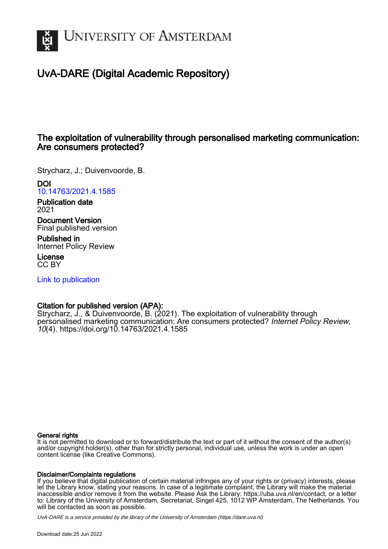

## UvA-DARE (Digital Academic Repository)

### The exploitation of vulnerability through personalised marketing communication: Are consumers protected?

Strycharz, J.; Duivenvoorde, B.

## DOI

[10.14763/2021.4.1585](https://doi.org/10.14763/2021.4.1585)

Publication date 2021

Document Version Final published version

Published in Internet Policy Review

License CC BY

[Link to publication](https://dare.uva.nl/personal/pure/en/publications/the-exploitation-of-vulnerability-through-personalised-marketing-communication-are-consumers-protected(a250bf92-1ecd-430d-9f4c-3253622b8618).html)

#### Citation for published version (APA):

Strycharz, J., & Duivenvoorde, B. (2021). The exploitation of vulnerability through personalised marketing communication: Are consumers protected? Internet Policy Review, 10(4). <https://doi.org/10.14763/2021.4.1585>

#### General rights

It is not permitted to download or to forward/distribute the text or part of it without the consent of the author(s) and/or copyright holder(s), other than for strictly personal, individual use, unless the work is under an open content license (like Creative Commons).

#### Disclaimer/Complaints regulations

If you believe that digital publication of certain material infringes any of your rights or (privacy) interests, please let the Library know, stating your reasons. In case of a legitimate complaint, the Library will make the material inaccessible and/or remove it from the website. Please Ask the Library: https://uba.uva.nl/en/contact, or a letter to: Library of the University of Amsterdam, Secretariat, Singel 425, 1012 WP Amsterdam, The Netherlands. You will be contacted as soon as possible.

UvA-DARE is a service provided by the library of the University of Amsterdam (http*s*://dare.uva.nl)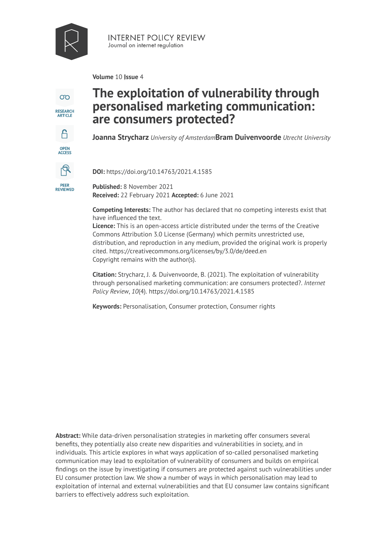

**INTERNET POLICY REVIEW** Journal on internet regulation

**Volume** 10 | **Issue** 4

 $\infty$ **RESEARCH**<br>ARTICLE A OPEN<br>ACCESS டி **PEER<br>REVIEWED** 

# **The exploitation of vulnerability through personalised marketing communication: are consumers protected?**

**Joanna Strycharz** *University of Amsterdam* **Bram Duivenvoorde** *Utrecht University* 

**DOI:** https://doi.org/10.14763/2021.4.1585

**Published:** 8 November 2021 **Received:** 22 February 2021 **Accepted:** 6 June 2021

**Competing Interests:** The author has declared that no competing interests exist that have influenced the text.

**Licence:** [This is an open-access article distributed under the terms of the Creative](https://creativecommons.org/licenses/by/3.0/de/deed.en)  [Commons Attribution 3.0 License \(Germany\) which permits unrestricted use,](https://creativecommons.org/licenses/by/3.0/de/deed.en) [distribution, and reproduction in any medium, provided the original work is properly](https://creativecommons.org/licenses/by/3.0/de/deed.en)  cited. <https://creativecommons.org/licenses/by/3.0/de/deed.en> [Copyright remains with the author\(s\).](https://creativecommons.org/licenses/by/3.0/de/deed.en) 

**Citation:** Strycharz, J. & Duivenvoorde, B. (2021). The exploitation of vulnerability through personalised marketing communication: are consumers protected?. *Internet Policy Review*, *10*(4). https://doi.org/10.14763/2021.4.1585

**Keywords:** Personalisation, Consumer protection, Consumer rights

**Abstract:** While data-driven personalisation strategies in marketing offer consumers several benefits, they potentially also create new disparities and vulnerabilities in society, and in individuals. This article explores in what ways application of so-called personalised marketing communication may lead to exploitation of vulnerability of consumers and builds on empirical findings on the issue by investigating if consumers are protected against such vulnerabilities under EU consumer protection law. We show a number of ways in which personalisation may lead to exploitation of internal and external vulnerabilities and that EU consumer law contains significant barriers to effectively address such exploitation.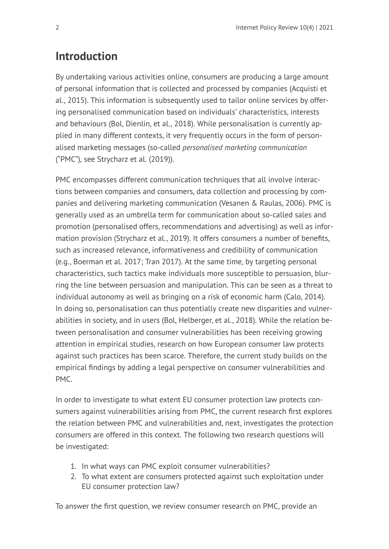# **Introduction**

By undertaking various activities online, consumers are producing a large amount of personal information that is collected and processed by companies (Acquisti et al., 2015). This information is subsequently used to tailor online services by offering personalised communication based on individuals' characteristics, interests and behaviours (Bol, Dienlin, et al., 2018). While personalisation is currently applied in many different contexts, it very frequently occurs in the form of personalised marketing messages (so-called *personalised marketing communication* ("PMC")*,* see Strycharz et al. (2019)).

PMC encompasses different communication techniques that all involve interactions between companies and consumers, data collection and processing by companies and delivering marketing communication (Vesanen & Raulas, 2006). PMC is generally used as an umbrella term for communication about so-called sales and promotion (personalised offers, recommendations and advertising) as well as information provision (Strycharz et al., 2019). It offers consumers a number of benefits, such as increased relevance, informativeness and credibility of communication (e.g., Boerman et al. 2017; Tran 2017). At the same time, by targeting personal characteristics, such tactics make individuals more susceptible to persuasion, blurring the line between persuasion and manipulation. This can be seen as a threat to individual autonomy as well as bringing on a risk of economic harm (Calo, 2014). In doing so, personalisation can thus potentially create new disparities and vulnerabilities in society, and in users (Bol, Helberger, et al., 2018). While the relation between personalisation and consumer vulnerabilities has been receiving growing attention in empirical studies, research on how European consumer law protects against such practices has been scarce. Therefore, the current study builds on the empirical findings by adding a legal perspective on consumer vulnerabilities and PMC.

In order to investigate to what extent EU consumer protection law protects consumers against vulnerabilities arising from PMC, the current research first explores the relation between PMC and vulnerabilities and, next, investigates the protection consumers are offered in this context. The following two research questions will be investigated:

- 1. In what ways can PMC exploit consumer vulnerabilities?
- 2. To what extent are consumers protected against such exploitation under EU consumer protection law?

To answer the first question, we review consumer research on PMC, provide an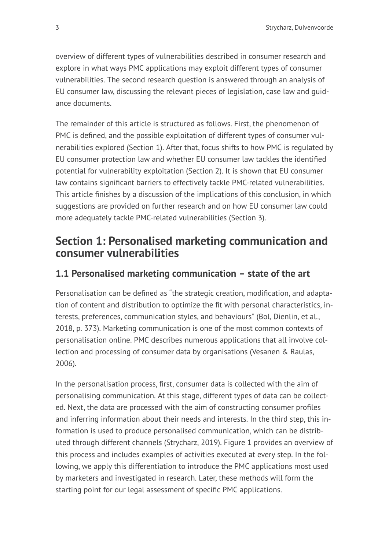overview of different types of vulnerabilities described in consumer research and explore in what ways PMC applications may exploit different types of consumer vulnerabilities. The second research question is answered through an analysis of EU consumer law, discussing the relevant pieces of legislation, case law and guidance documents.

The remainder of this article is structured as follows. First, the phenomenon of PMC is defined, and the possible exploitation of different types of consumer vulnerabilities explored (Section 1). After that, focus shifts to how PMC is regulated by EU consumer protection law and whether EU consumer law tackles the identified potential for vulnerability exploitation (Section 2). It is shown that EU consumer law contains significant barriers to effectively tackle PMC-related vulnerabilities. This article finishes by a discussion of the implications of this conclusion, in which suggestions are provided on further research and on how EU consumer law could more adequately tackle PMC-related vulnerabilities (Section 3).

## **Section 1: Personalised marketing communication and consumer vulnerabilities**

### **1.1 Personalised marketing communication – state of the art**

Personalisation can be defined as "the strategic creation, modification, and adaptation of content and distribution to optimize the fit with personal characteristics, interests, preferences, communication styles, and behaviours" (Bol, Dienlin, et al., 2018, p. 373). Marketing communication is one of the most common contexts of personalisation online. PMC describes numerous applications that all involve collection and processing of consumer data by organisations (Vesanen & Raulas, 2006).

In the personalisation process, first, consumer data is collected with the aim of personalising communication. At this stage, different types of data can be collected. Next, the data are processed with the aim of constructing consumer profiles and inferring information about their needs and interests. In the third step, this information is used to produce personalised communication, which can be distributed through different channels (Strycharz, 2019). [Figure 1](#page-4-0) provides an overview of this process and includes examples of activities executed at every step. In the following, we apply this differentiation to introduce the PMC applications most used by marketers and investigated in research. Later, these methods will form the starting point for our legal assessment of specific PMC applications.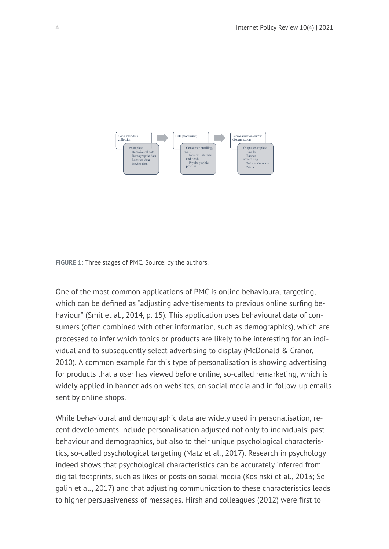<span id="page-4-0"></span>

#### **FIGURE 1:** Three stages of PMC. Source: by the authors.

One of the most common applications of PMC is online behavioural targeting, which can be defined as "adjusting advertisements to previous online surfing behaviour" (Smit et al., 2014, p. 15). This application uses behavioural data of consumers (often combined with other information, such as demographics), which are processed to infer which topics or products are likely to be interesting for an individual and to subsequently select advertising to display (McDonald & Cranor, 2010). A common example for this type of personalisation is showing advertising for products that a user has viewed before online, so-called remarketing, which is widely applied in banner ads on websites, on social media and in follow-up emails sent by online shops.

While behavioural and demographic data are widely used in personalisation, recent developments include personalisation adjusted not only to individuals' past behaviour and demographics, but also to their unique psychological characteristics, so-called psychological targeting (Matz et al., 2017). Research in psychology indeed shows that psychological characteristics can be accurately inferred from digital footprints, such as likes or posts on social media (Kosinski et al., 2013; Segalin et al., 2017) and that adjusting communication to these characteristics leads to higher persuasiveness of messages. Hirsh and colleagues (2012) were first to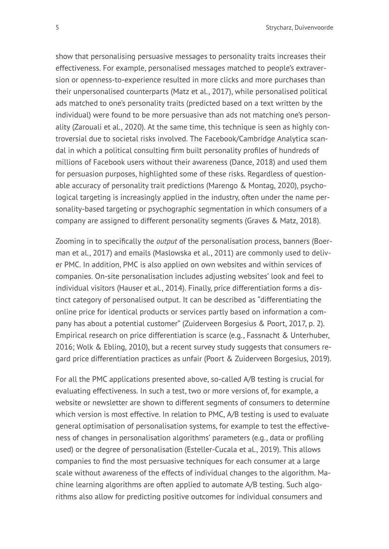5 Strycharz, Duivenvoorde

show that personalising persuasive messages to personality traits increases their effectiveness. For example, personalised messages matched to people's extraversion or openness-to-experience resulted in more clicks and more purchases than their unpersonalised counterparts (Matz et al., 2017), while personalised political ads matched to one's personality traits (predicted based on a text written by the individual) were found to be more persuasive than ads not matching one's personality (Zarouali et al., 2020). At the same time, this technique is seen as highly controversial due to societal risks involved. The Facebook/Cambridge Analytica scandal in which a political consulting firm built personality profiles of hundreds of millions of Facebook users without their awareness (Dance, 2018) and used them for persuasion purposes, highlighted some of these risks. Regardless of questionable accuracy of personality trait predictions (Marengo & Montag, 2020), psychological targeting is increasingly applied in the industry, often under the name personality-based targeting or psychographic segmentation in which consumers of a company are assigned to different personality segments (Graves & Matz, 2018).

Zooming in to specifically the *output* of the personalisation process, banners (Boerman et al., 2017) and emails (Maslowska et al., 2011) are commonly used to deliver PMC. In addition, PMC is also applied on own websites and within services of companies. On-site personalisation includes adjusting websites' look and feel to individual visitors (Hauser et al., 2014). Finally, price differentiation forms a distinct category of personalised output. It can be described as "differentiating the online price for identical products or services partly based on information a company has about a potential customer" (Zuiderveen Borgesius & Poort, 2017, p. 2). Empirical research on price differentiation is scarce (e.g., Fassnacht & Unterhuber, 2016; Wolk & Ebling, 2010), but a recent survey study suggests that consumers regard price differentiation practices as unfair (Poort & Zuiderveen Borgesius, 2019).

For all the PMC applications presented above, so-called A/B testing is crucial for evaluating effectiveness. In such a test, two or more versions of, for example, a website or newsletter are shown to different segments of consumers to determine which version is most effective. In relation to PMC, A/B testing is used to evaluate general optimisation of personalisation systems, for example to test the effectiveness of changes in personalisation algorithms' parameters (e.g., data or profiling used) or the degree of personalisation (Esteller-Cucala et al., 2019). This allows companies to find the most persuasive techniques for each consumer at a large scale without awareness of the effects of individual changes to the algorithm. Machine learning algorithms are often applied to automate A/B testing. Such algorithms also allow for predicting positive outcomes for individual consumers and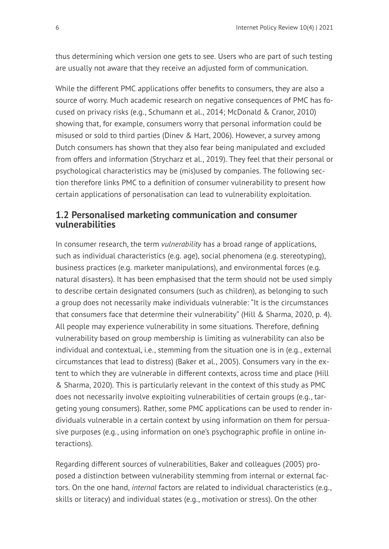thus determining which version one gets to see. Users who are part of such testing are usually not aware that they receive an adjusted form of communication.

While the different PMC applications offer benefits to consumers, they are also a source of worry. Much academic research on negative consequences of PMC has focused on privacy risks (e.g., Schumann et al., 2014; McDonald & Cranor, 2010) showing that, for example, consumers worry that personal information could be misused or sold to third parties (Dinev & Hart, 2006). However, a survey among Dutch consumers has shown that they also fear being manipulated and excluded from offers and information (Strycharz et al., 2019). They feel that their personal or psychological characteristics may be (mis)used by companies. The following section therefore links PMC to a definition of consumer vulnerability to present how certain applications of personalisation can lead to vulnerability exploitation.

### **1.2 Personalised marketing communication and consumer vulnerabilities**

In consumer research, the term *vulnerability* has a broad range of applications, such as individual characteristics (e.g. age), social phenomena (e.g. stereotyping), business practices (e.g. marketer manipulations), and environmental forces (e.g. natural disasters). It has been emphasised that the term should not be used simply to describe certain designated consumers (such as children), as belonging to such a group does not necessarily make individuals vulnerable: "It is the circumstances that consumers face that determine their vulnerability" (Hill & Sharma, 2020, p. 4). All people may experience vulnerability in some situations. Therefore, defining vulnerability based on group membership is limiting as vulnerability can also be individual and contextual, i.e., stemming from the situation one is in (e.g., external circumstances that lead to distress) (Baker et al., 2005). Consumers vary in the extent to which they are vulnerable in different contexts, across time and place (Hill & Sharma, 2020). This is particularly relevant in the context of this study as PMC does not necessarily involve exploiting vulnerabilities of certain groups (e.g., targeting young consumers). Rather, some PMC applications can be used to render individuals vulnerable in a certain context by using information on them for persuasive purposes (e.g., using information on one's psychographic profile in online interactions).

Regarding different sources of vulnerabilities, Baker and colleagues (2005) proposed a distinction between vulnerability stemming from internal or external factors. On the one hand, *internal* factors are related to individual characteristics (e.g., skills or literacy) and individual states (e.g., motivation or stress). On the other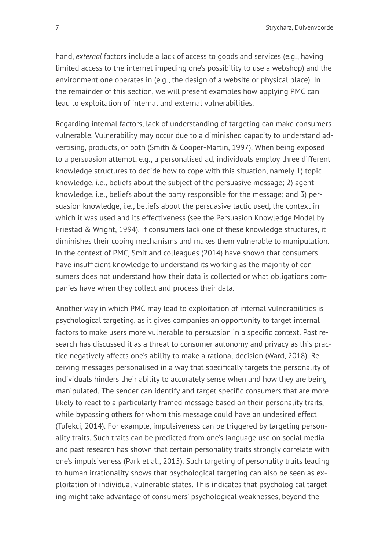hand, *external* factors include a lack of access to goods and services (e.g., having limited access to the internet impeding one's possibility to use a webshop) and the environment one operates in (e.g., the design of a website or physical place). In the remainder of this section, we will present examples how applying PMC can lead to exploitation of internal and external vulnerabilities.

Regarding internal factors, lack of understanding of targeting can make consumers vulnerable. Vulnerability may occur due to a diminished capacity to understand advertising, products, or both (Smith & Cooper-Martin, 1997). When being exposed to a persuasion attempt, e.g., a personalised ad, individuals employ three different knowledge structures to decide how to cope with this situation, namely 1) topic knowledge, i.e., beliefs about the subject of the persuasive message; 2) agent knowledge, i.e., beliefs about the party responsible for the message; and 3) persuasion knowledge, i.e., beliefs about the persuasive tactic used, the context in which it was used and its effectiveness (see the Persuasion Knowledge Model by Friestad & Wright, 1994). If consumers lack one of these knowledge structures, it diminishes their coping mechanisms and makes them vulnerable to manipulation. In the context of PMC, Smit and colleagues (2014) have shown that consumers have insufficient knowledge to understand its working as the majority of consumers does not understand how their data is collected or what obligations companies have when they collect and process their data.

Another way in which PMC may lead to exploitation of internal vulnerabilities is psychological targeting, as it gives companies an opportunity to target internal factors to make users more vulnerable to persuasion in a specific context. Past research has discussed it as a threat to consumer autonomy and privacy as this practice negatively affects one's ability to make a rational decision (Ward, 2018). Receiving messages personalised in a way that specifically targets the personality of individuals hinders their ability to accurately sense when and how they are being manipulated. The sender can identify and target specific consumers that are more likely to react to a particularly framed message based on their personality traits, while bypassing others for whom this message could have an undesired effect (Tufekci, 2014). For example, impulsiveness can be triggered by targeting personality traits. Such traits can be predicted from one's language use on social media and past research has shown that certain personality traits strongly correlate with one's impulsiveness (Park et al., 2015). Such targeting of personality traits leading to human irrationality shows that psychological targeting can also be seen as exploitation of individual vulnerable states. This indicates that psychological targeting might take advantage of consumers' psychological weaknesses, beyond the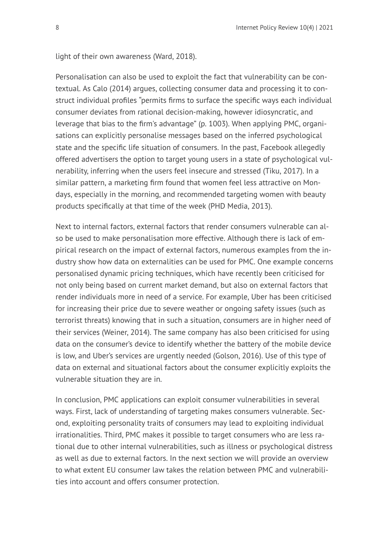light of their own awareness (Ward, 2018).

Personalisation can also be used to exploit the fact that vulnerability can be contextual. As Calo (2014) argues, collecting consumer data and processing it to construct individual profiles "permits firms to surface the specific ways each individual consumer deviates from rational decision-making, however idiosyncratic, and leverage that bias to the firm's advantage" (p. 1003). When applying PMC, organisations can explicitly personalise messages based on the inferred psychological state and the specific life situation of consumers. In the past, Facebook allegedly offered advertisers the option to target young users in a state of psychological vulnerability, inferring when the users feel insecure and stressed (Tiku, 2017). In a similar pattern, a marketing firm found that women feel less attractive on Mondays, especially in the morning, and recommended targeting women with beauty products specifically at that time of the week (PHD Media, 2013).

Next to internal factors, external factors that render consumers vulnerable can also be used to make personalisation more effective. Although there is lack of empirical research on the impact of external factors, numerous examples from the industry show how data on externalities can be used for PMC. One example concerns personalised dynamic pricing techniques, which have recently been criticised for not only being based on current market demand, but also on external factors that render individuals more in need of a service. For example, Uber has been criticised for increasing their price due to severe weather or ongoing safety issues (such as terrorist threats) knowing that in such a situation, consumers are in higher need of their services (Weiner, 2014). The same company has also been criticised for using data on the consumer's device to identify whether the battery of the mobile device is low, and Uber's services are urgently needed (Golson, 2016). Use of this type of data on external and situational factors about the consumer explicitly exploits the vulnerable situation they are in.

In conclusion, PMC applications can exploit consumer vulnerabilities in several ways. First, lack of understanding of targeting makes consumers vulnerable. Second, exploiting personality traits of consumers may lead to exploiting individual irrationalities. Third, PMC makes it possible to target consumers who are less rational due to other internal vulnerabilities, such as illness or psychological distress as well as due to external factors. In the next section we will provide an overview to what extent EU consumer law takes the relation between PMC and vulnerabilities into account and offers consumer protection.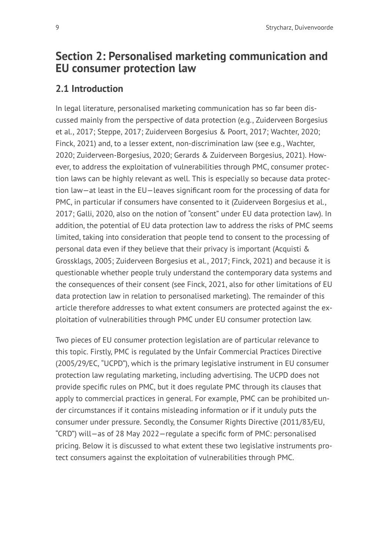# **Section 2: Personalised marketing communication and EU consumer protection law**

## **2.1 Introduction**

In legal literature, personalised marketing communication has so far been discussed mainly from the perspective of data protection (e.g., Zuiderveen Borgesius et al., 2017; Steppe, 2017; Zuiderveen Borgesius & Poort, 2017; Wachter, 2020; Finck, 2021) and, to a lesser extent, non-discrimination law (see e.g., Wachter, 2020; Zuiderveen-Borgesius, 2020; Gerards & Zuiderveen Borgesius, 2021). However, to address the exploitation of vulnerabilities through PMC, consumer protection laws can be highly relevant as well. This is especially so because data protection law—at least in the EU—leaves significant room for the processing of data for PMC, in particular if consumers have consented to it (Zuiderveen Borgesius et al., 2017; Galli, 2020, also on the notion of "consent" under EU data protection law). In addition, the potential of EU data protection law to address the risks of PMC seems limited, taking into consideration that people tend to consent to the processing of personal data even if they believe that their privacy is important (Acquisti & Grossklags, 2005; Zuiderveen Borgesius et al., 2017; Finck, 2021) and because it is questionable whether people truly understand the contemporary data systems and the consequences of their consent (see Finck, 2021, also for other limitations of EU data protection law in relation to personalised marketing). The remainder of this article therefore addresses to what extent consumers are protected against the exploitation of vulnerabilities through PMC under EU consumer protection law.

Two pieces of EU consumer protection legislation are of particular relevance to this topic. Firstly, PMC is regulated by the Unfair Commercial Practices Directive (2005/29/EC, "UCPD"), which is the primary legislative instrument in EU consumer protection law regulating marketing, including advertising. The UCPD does not provide specific rules on PMC, but it does regulate PMC through its clauses that apply to commercial practices in general. For example, PMC can be prohibited under circumstances if it contains misleading information or if it unduly puts the consumer under pressure. Secondly, the Consumer Rights Directive (2011/83/EU, "CRD") will—as of 28 May 2022—regulate a specific form of PMC: personalised pricing. Below it is discussed to what extent these two legislative instruments protect consumers against the exploitation of vulnerabilities through PMC.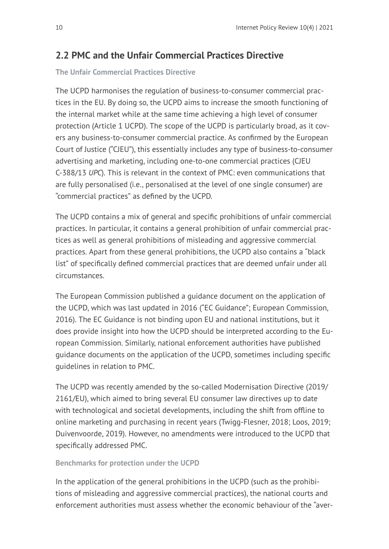## **2.2 PMC and the Unfair Commercial Practices Directive**

### **The Unfair Commercial Practices Directive**

The UCPD harmonises the regulation of business-to-consumer commercial practices in the EU. By doing so, the UCPD aims to increase the smooth functioning of the internal market while at the same time achieving a high level of consumer protection (Article 1 UCPD). The scope of the UCPD is particularly broad, as it covers any business-to-consumer commercial practice. As confirmed by the European Court of Justice ("CJEU"), this essentially includes any type of business-to-consumer advertising and marketing, including one-to-one commercial practices (CJEU C-388/13 *UPC*). This is relevant in the context of PMC: even communications that are fully personalised (i.e., personalised at the level of one single consumer) are "commercial practices" as defined by the UCPD.

The UCPD contains a mix of general and specific prohibitions of unfair commercial practices. In particular, it contains a general prohibition of unfair commercial practices as well as general prohibitions of misleading and aggressive commercial practices. Apart from these general prohibitions, the UCPD also contains a "black list" of specifically defined commercial practices that are deemed unfair under all circumstances.

The European Commission published a guidance document on the application of the UCPD, which was last updated in 2016 ("EC Guidance"; European Commission, 2016). The EC Guidance is not binding upon EU and national institutions, but it does provide insight into how the UCPD should be interpreted according to the European Commission. Similarly, national enforcement authorities have published guidance documents on the application of the UCPD, sometimes including specific guidelines in relation to PMC.

The UCPD was recently amended by the so-called Modernisation Directive (2019/ 2161/EU), which aimed to bring several EU consumer law directives up to date with technological and societal developments, including the shift from offline to online marketing and purchasing in recent years (Twigg-Flesner, 2018; Loos, 2019; Duivenvoorde, 2019). However, no amendments were introduced to the UCPD that specifically addressed PMC.

#### **Benchmarks for protection under the UCPD**

In the application of the general prohibitions in the UCPD (such as the prohibitions of misleading and aggressive commercial practices), the national courts and enforcement authorities must assess whether the economic behaviour of the "aver-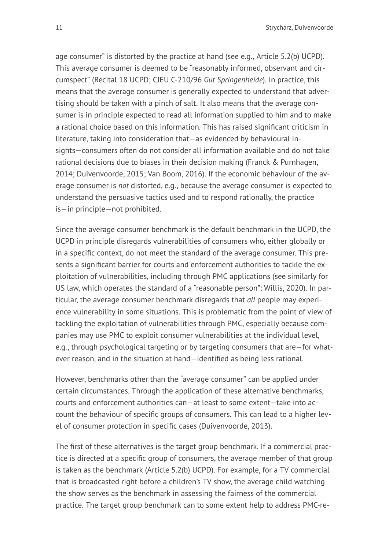age consumer" is distorted by the practice at hand (see e.g., Article 5.2(b) UCPD). This average consumer is deemed to be "reasonably informed, observant and circumspect" (Recital 18 UCPD; CJEU C-210/96 *Gut Springenheide*). In practice, this means that the average consumer is generally expected to understand that advertising should be taken with a pinch of salt. It also means that the average consumer is in principle expected to read all information supplied to him and to make a rational choice based on this information. This has raised significant criticism in literature, taking into consideration that—as evidenced by behavioural insights—consumers often do not consider all information available and do not take rational decisions due to biases in their decision making (Franck & Purnhagen, 2014; Duivenvoorde, 2015; Van Boom, 2016). If the economic behaviour of the average consumer is *not* distorted, e.g., because the average consumer is expected to understand the persuasive tactics used and to respond rationally, the practice is—in principle—not prohibited.

Since the average consumer benchmark is the default benchmark in the UCPD, the UCPD in principle disregards vulnerabilities of consumers who, either globally or in a specific context, do not meet the standard of the average consumer. This presents a significant barrier for courts and enforcement authorities to tackle the exploitation of vulnerabilities, including through PMC applications (see similarly for US law, which operates the standard of a "reasonable person": Willis, 2020). In particular, the average consumer benchmark disregards that *all* people may experience vulnerability in some situations. This is problematic from the point of view of tackling the exploitation of vulnerabilities through PMC, especially because companies may use PMC to exploit consumer vulnerabilities at the individual level, e.g., through psychological targeting or by targeting consumers that are—for whatever reason, and in the situation at hand—identified as being less rational.

However, benchmarks other than the "average consumer" can be applied under certain circumstances. Through the application of these alternative benchmarks, courts and enforcement authorities can—at least to some extent—take into account the behaviour of specific groups of consumers. This can lead to a higher level of consumer protection in specific cases (Duivenvoorde, 2013).

The first of these alternatives is the target group benchmark. If a commercial practice is directed at a specific group of consumers, the average member of that group is taken as the benchmark (Article 5.2(b) UCPD). For example, for a TV commercial that is broadcasted right before a children's TV show, the average child watching the show serves as the benchmark in assessing the fairness of the commercial practice. The target group benchmark can to some extent help to address PMC-re-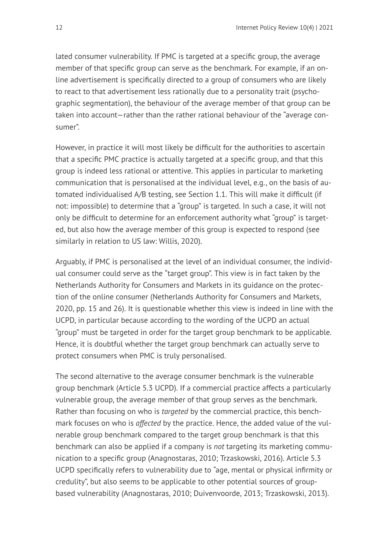lated consumer vulnerability. If PMC is targeted at a specific group, the average member of that specific group can serve as the benchmark. For example, if an online advertisement is specifically directed to a group of consumers who are likely to react to that advertisement less rationally due to a personality trait (psychographic segmentation), the behaviour of the average member of that group can be taken into account—rather than the rather rational behaviour of the "average consumer".

However, in practice it will most likely be difficult for the authorities to ascertain that a specific PMC practice is actually targeted at a specific group, and that this group is indeed less rational or attentive. This applies in particular to marketing communication that is personalised at the individual level, e.g., on the basis of automated individualised A/B testing, see Section 1.1. This will make it difficult (if not: impossible) to determine that a "group" is targeted. In such a case, it will not only be difficult to determine for an enforcement authority what "group" is targeted, but also how the average member of this group is expected to respond (see similarly in relation to US law: Willis, 2020).

Arguably, if PMC is personalised at the level of an individual consumer, the individual consumer could serve as the "target group". This view is in fact taken by the Netherlands Authority for Consumers and Markets in its guidance on the protection of the online consumer (Netherlands Authority for Consumers and Markets, 2020, pp. 15 and 26). It is questionable whether this view is indeed in line with the UCPD, in particular because according to the wording of the UCPD an actual "group" must be targeted in order for the target group benchmark to be applicable. Hence, it is doubtful whether the target group benchmark can actually serve to protect consumers when PMC is truly personalised.

The second alternative to the average consumer benchmark is the vulnerable group benchmark (Article 5.3 UCPD). If a commercial practice affects a particularly vulnerable group, the average member of that group serves as the benchmark. Rather than focusing on who is *targeted* by the commercial practice, this benchmark focuses on who is *affected* by the practice. Hence, the added value of the vulnerable group benchmark compared to the target group benchmark is that this benchmark can also be applied if a company is *not* targeting its marketing communication to a specific group (Anagnostaras, 2010; Trzaskowski, 2016). Article 5.3 UCPD specifically refers to vulnerability due to "age, mental or physical infirmity or credulity", but also seems to be applicable to other potential sources of groupbased vulnerability (Anagnostaras, 2010; Duivenvoorde, 2013; Trzaskowski, 2013).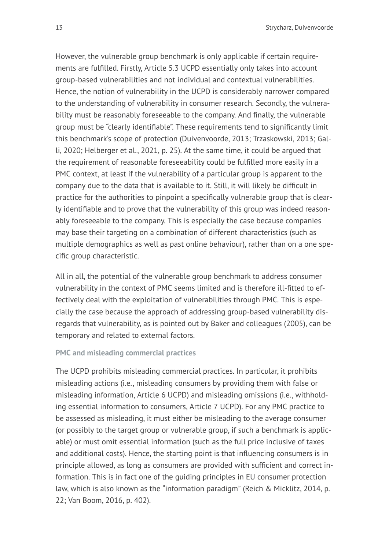However, the vulnerable group benchmark is only applicable if certain requirements are fulfilled. Firstly, Article 5.3 UCPD essentially only takes into account group-based vulnerabilities and not individual and contextual vulnerabilities. Hence, the notion of vulnerability in the UCPD is considerably narrower compared to the understanding of vulnerability in consumer research. Secondly, the vulnerability must be reasonably foreseeable to the company. And finally, the vulnerable group must be "clearly identifiable". These requirements tend to significantly limit this benchmark's scope of protection (Duivenvoorde, 2013; Trzaskowski, 2013; Galli, 2020; Helberger et al., 2021, p. 25). At the same time, it could be argued that the requirement of reasonable foreseeability could be fulfilled more easily in a PMC context, at least if the vulnerability of a particular group is apparent to the company due to the data that is available to it. Still, it will likely be difficult in practice for the authorities to pinpoint a specifically vulnerable group that is clearly identifiable and to prove that the vulnerability of this group was indeed reasonably foreseeable to the company. This is especially the case because companies may base their targeting on a combination of different characteristics (such as multiple demographics as well as past online behaviour), rather than on a one specific group characteristic.

All in all, the potential of the vulnerable group benchmark to address consumer vulnerability in the context of PMC seems limited and is therefore ill-fitted to effectively deal with the exploitation of vulnerabilities through PMC. This is especially the case because the approach of addressing group-based vulnerability disregards that vulnerability, as is pointed out by Baker and colleagues (2005), can be temporary and related to external factors.

#### **PMC and misleading commercial practices**

The UCPD prohibits misleading commercial practices. In particular, it prohibits misleading actions (i.e., misleading consumers by providing them with false or misleading information, Article 6 UCPD) and misleading omissions (i.e., withholding essential information to consumers, Article 7 UCPD). For any PMC practice to be assessed as misleading, it must either be misleading to the average consumer (or possibly to the target group or vulnerable group, if such a benchmark is applicable) or must omit essential information (such as the full price inclusive of taxes and additional costs). Hence, the starting point is that influencing consumers is in principle allowed, as long as consumers are provided with sufficient and correct information. This is in fact one of the guiding principles in EU consumer protection law, which is also known as the "information paradigm" (Reich & Micklitz, 2014, p. 22; Van Boom, 2016, p. 402).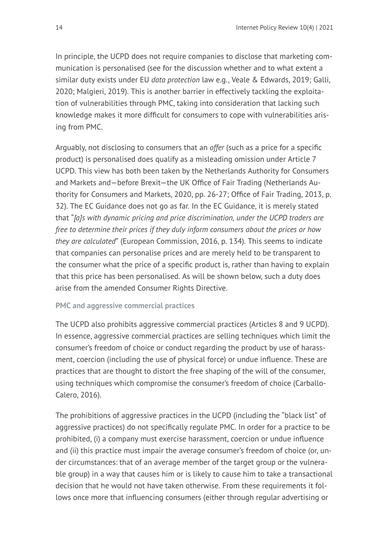In principle, the UCPD does not require companies to disclose that marketing communication is personalised (see for the discussion whether and to what extent a similar duty exists under EU *data protection* law e.g., Veale & Edwards, 2019; Galli, 2020; Malgieri, 2019). This is another barrier in effectively tackling the exploitation of vulnerabilities through PMC, taking into consideration that lacking such knowledge makes it more difficult for consumers to cope with vulnerabilities arising from PMC.

Arguably, not disclosing to consumers that an *offer* (such as a price for a specific product) is personalised does qualify as a misleading omission under Article 7 UCPD. This view has both been taken by the Netherlands Authority for Consumers and Markets and—before Brexit—the UK Office of Fair Trading (Netherlands Authority for Consumers and Markets, 2020, pp. 26-27; Office of Fair Trading, 2013, p. 32). The EC Guidance does not go as far. In the EC Guidance, it is merely stated that "*[a]s with dynamic pricing and price discrimination, under the UCPD traders are free to determine their prices if they duly inform consumers about the prices or how they are calculated*" (European Commission, 2016, p. 134)*.* This seems to indicate that companies can personalise prices and are merely held to be transparent to the consumer what the price of a specific product is, rather than having to explain that this price has been personalised. As will be shown below, such a duty does arise from the amended Consumer Rights Directive.

#### **PMC and aggressive commercial practices**

The UCPD also prohibits aggressive commercial practices (Articles 8 and 9 UCPD). In essence, aggressive commercial practices are selling techniques which limit the consumer's freedom of choice or conduct regarding the product by use of harassment, coercion (including the use of physical force) or undue influence. These are practices that are thought to distort the free shaping of the will of the consumer, using techniques which compromise the consumer's freedom of choice (Carballo-Calero, 2016).

The prohibitions of aggressive practices in the UCPD (including the "black list" of aggressive practices) do not specifically regulate PMC. In order for a practice to be prohibited, (i) a company must exercise harassment, coercion or undue influence and (ii) this practice must impair the average consumer's freedom of choice (or, under circumstances: that of an average member of the target group or the vulnerable group) in a way that causes him or is likely to cause him to take a transactional decision that he would not have taken otherwise. From these requirements it follows once more that influencing consumers (either through regular advertising or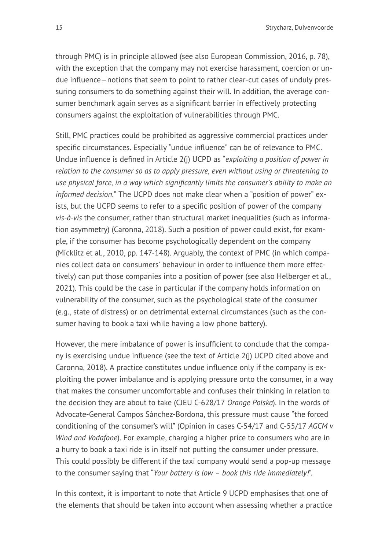through PMC) is in principle allowed (see also European Commission, 2016, p. 78), with the exception that the company may not exercise harassment, coercion or undue influence—notions that seem to point to rather clear-cut cases of unduly pressuring consumers to do something against their will. In addition, the average consumer benchmark again serves as a significant barrier in effectively protecting consumers against the exploitation of vulnerabilities through PMC.

Still, PMC practices could be prohibited as aggressive commercial practices under specific circumstances. Especially "undue influence" can be of relevance to PMC. Undue influence is defined in Article 2(j) UCPD as "*exploiting a position of power in relation to the consumer so as to apply pressure, even without using or threatening to use physical force, in a way which significantly limits the consumer's ability to make an informed decision.*" The UCPD does not make clear when a "position of power" exists, but the UCPD seems to refer to a specific position of power of the company *vis-à-vis* the consumer, rather than structural market inequalities (such as information asymmetry) (Caronna, 2018). Such a position of power could exist, for example, if the consumer has become psychologically dependent on the company (Micklitz et al., 2010, pp. 147-148). Arguably, the context of PMC (in which companies collect data on consumers' behaviour in order to influence them more effectively) can put those companies into a position of power (see also Helberger et al., 2021). This could be the case in particular if the company holds information on vulnerability of the consumer, such as the psychological state of the consumer (e.g., state of distress) or on detrimental external circumstances (such as the consumer having to book a taxi while having a low phone battery).

However, the mere imbalance of power is insufficient to conclude that the company is exercising undue influence (see the text of Article 2(j) UCPD cited above and Caronna, 2018). A practice constitutes undue influence only if the company is exploiting the power imbalance and is applying pressure onto the consumer, in a way that makes the consumer uncomfortable and confuses their thinking in relation to the decision they are about to take (CJEU C-628/17 *Orange Polska*). In the words of Advocate-General Campos Sánchez-Bordona, this pressure must cause "the forced conditioning of the consumer's will" (Opinion in cases C‑54/17 and C‑55/17 *AGCM v Wind and Vodafone*). For example, charging a higher price to consumers who are in a hurry to book a taxi ride is in itself not putting the consumer under pressure. This could possibly be different if the taxi company would send a pop-up message to the consumer saying that "*Your battery is low – book this ride immediately!*".

In this context, it is important to note that Article 9 UCPD emphasises that one of the elements that should be taken into account when assessing whether a practice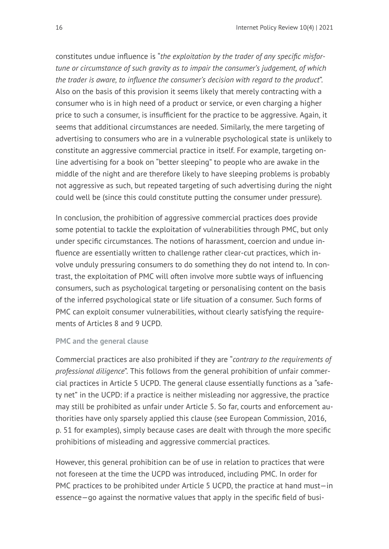constitutes undue influence is "*the exploitation by the trader of any specific misfortune or circumstance of such gravity as to impair the consumer's judgement, of which the trader is aware, to influence the consumer's decision with regard to the product*". Also on the basis of this provision it seems likely that merely contracting with a consumer who is in high need of a product or service, or even charging a higher price to such a consumer, is insufficient for the practice to be aggressive. Again, it seems that additional circumstances are needed. Similarly, the mere targeting of advertising to consumers who are in a vulnerable psychological state is unlikely to constitute an aggressive commercial practice in itself. For example, targeting online advertising for a book on "better sleeping" to people who are awake in the middle of the night and are therefore likely to have sleeping problems is probably not aggressive as such, but repeated targeting of such advertising during the night could well be (since this could constitute putting the consumer under pressure).

In conclusion, the prohibition of aggressive commercial practices does provide some potential to tackle the exploitation of vulnerabilities through PMC, but only under specific circumstances. The notions of harassment, coercion and undue influence are essentially written to challenge rather clear-cut practices, which involve unduly pressuring consumers to do something they do not intend to. In contrast, the exploitation of PMC will often involve more subtle ways of influencing consumers, such as psychological targeting or personalising content on the basis of the inferred psychological state or life situation of a consumer. Such forms of PMC can exploit consumer vulnerabilities, without clearly satisfying the requirements of Articles 8 and 9 UCPD.

#### **PMC and the general clause**

Commercial practices are also prohibited if they are "*contrary to the requirements of professional diligence*". This follows from the general prohibition of unfair commercial practices in Article 5 UCPD. The general clause essentially functions as a "safety net" in the UCPD: if a practice is neither misleading nor aggressive, the practice may still be prohibited as unfair under Article 5. So far, courts and enforcement authorities have only sparsely applied this clause (see European Commission, 2016, p. 51 for examples), simply because cases are dealt with through the more specific prohibitions of misleading and aggressive commercial practices.

However, this general prohibition can be of use in relation to practices that were not foreseen at the time the UCPD was introduced, including PMC. In order for PMC practices to be prohibited under Article 5 UCPD, the practice at hand must—in essence—go against the normative values that apply in the specific field of busi-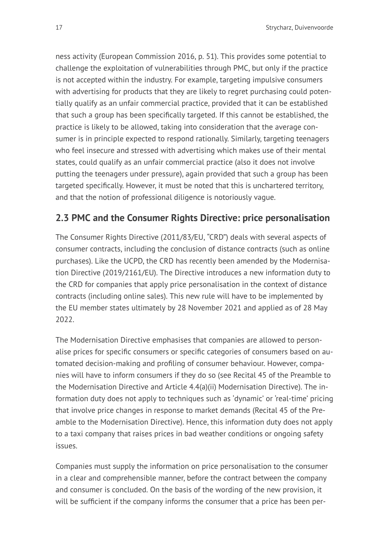ness activity (European Commission 2016, p. 51). This provides some potential to challenge the exploitation of vulnerabilities through PMC, but only if the practice is not accepted within the industry. For example, targeting impulsive consumers with advertising for products that they are likely to regret purchasing could potentially qualify as an unfair commercial practice, provided that it can be established that such a group has been specifically targeted. If this cannot be established, the practice is likely to be allowed, taking into consideration that the average consumer is in principle expected to respond rationally. Similarly, targeting teenagers who feel insecure and stressed with advertising which makes use of their mental states, could qualify as an unfair commercial practice (also it does not involve putting the teenagers under pressure), again provided that such a group has been targeted specifically. However, it must be noted that this is unchartered territory, and that the notion of professional diligence is notoriously vague.

### **2.3 PMC and the Consumer Rights Directive: price personalisation**

The Consumer Rights Directive (2011/83/EU, "CRD") deals with several aspects of consumer contracts, including the conclusion of distance contracts (such as online purchases). Like the UCPD, the CRD has recently been amended by the Modernisation Directive (2019/2161/EU). The Directive introduces a new information duty to the CRD for companies that apply price personalisation in the context of distance contracts (including online sales). This new rule will have to be implemented by the EU member states ultimately by 28 November 2021 and applied as of 28 May 2022.

The Modernisation Directive emphasises that companies are allowed to personalise prices for specific consumers or specific categories of consumers based on automated decision-making and profiling of consumer behaviour. However, companies will have to inform consumers if they do so (see Recital 45 of the Preamble to the Modernisation Directive and Article 4.4(a)(ii) Modernisation Directive). The information duty does not apply to techniques such as 'dynamic' or 'real-time' pricing that involve price changes in response to market demands (Recital 45 of the Preamble to the Modernisation Directive). Hence, this information duty does not apply to a taxi company that raises prices in bad weather conditions or ongoing safety issues.

Companies must supply the information on price personalisation to the consumer in a clear and comprehensible manner, before the contract between the company and consumer is concluded. On the basis of the wording of the new provision, it will be sufficient if the company informs the consumer that a price has been per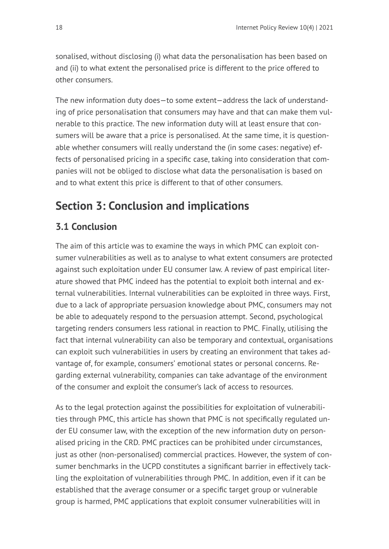sonalised, without disclosing (i) what data the personalisation has been based on and (ii) to what extent the personalised price is different to the price offered to other consumers.

The new information duty does—to some extent—address the lack of understanding of price personalisation that consumers may have and that can make them vulnerable to this practice. The new information duty will at least ensure that consumers will be aware that a price is personalised. At the same time, it is questionable whether consumers will really understand the (in some cases: negative) effects of personalised pricing in a specific case, taking into consideration that companies will not be obliged to disclose what data the personalisation is based on and to what extent this price is different to that of other consumers.

# **Section 3: Conclusion and implications**

## **3.1 Conclusion**

The aim of this article was to examine the ways in which PMC can exploit consumer vulnerabilities as well as to analyse to what extent consumers are protected against such exploitation under EU consumer law. A review of past empirical literature showed that PMC indeed has the potential to exploit both internal and external vulnerabilities. Internal vulnerabilities can be exploited in three ways. First, due to a lack of appropriate persuasion knowledge about PMC, consumers may not be able to adequately respond to the persuasion attempt. Second, psychological targeting renders consumers less rational in reaction to PMC. Finally, utilising the fact that internal vulnerability can also be temporary and contextual, organisations can exploit such vulnerabilities in users by creating an environment that takes advantage of, for example, consumers' emotional states or personal concerns. Regarding external vulnerability, companies can take advantage of the environment of the consumer and exploit the consumer's lack of access to resources.

As to the legal protection against the possibilities for exploitation of vulnerabilities through PMC, this article has shown that PMC is not specifically regulated under EU consumer law, with the exception of the new information duty on personalised pricing in the CRD. PMC practices can be prohibited under circumstances, just as other (non-personalised) commercial practices. However, the system of consumer benchmarks in the UCPD constitutes a significant barrier in effectively tackling the exploitation of vulnerabilities through PMC. In addition, even if it can be established that the average consumer or a specific target group or vulnerable group is harmed, PMC applications that exploit consumer vulnerabilities will in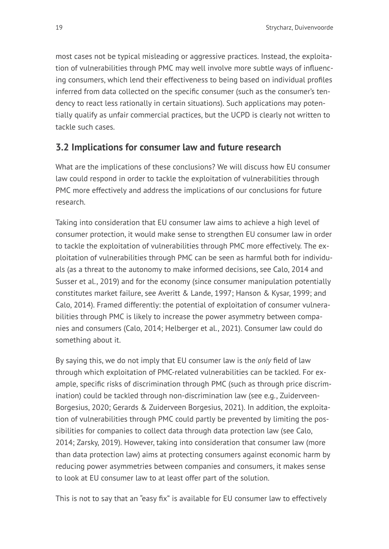most cases not be typical misleading or aggressive practices. Instead, the exploitation of vulnerabilities through PMC may well involve more subtle ways of influencing consumers, which lend their effectiveness to being based on individual profiles inferred from data collected on the specific consumer (such as the consumer's tendency to react less rationally in certain situations). Such applications may potentially qualify as unfair commercial practices, but the UCPD is clearly not written to tackle such cases.

### **3.2 Implications for consumer law and future research**

What are the implications of these conclusions? We will discuss how EU consumer law could respond in order to tackle the exploitation of vulnerabilities through PMC more effectively and address the implications of our conclusions for future research.

Taking into consideration that EU consumer law aims to achieve a high level of consumer protection, it would make sense to strengthen EU consumer law in order to tackle the exploitation of vulnerabilities through PMC more effectively. The exploitation of vulnerabilities through PMC can be seen as harmful both for individuals (as a threat to the autonomy to make informed decisions, see Calo, 2014 and Susser et al., 2019) and for the economy (since consumer manipulation potentially constitutes market failure, see Averitt & Lande, 1997; Hanson & Kysar, 1999; and Calo, 2014). Framed differently: the potential of exploitation of consumer vulnerabilities through PMC is likely to increase the power asymmetry between companies and consumers (Calo, 2014; Helberger et al., 2021). Consumer law could do something about it.

By saying this, we do not imply that EU consumer law is the *only* field of law through which exploitation of PMC-related vulnerabilities can be tackled. For example, specific risks of discrimination through PMC (such as through price discrimination) could be tackled through non-discrimination law (see e.g., Zuiderveen-Borgesius, 2020; Gerards & Zuiderveen Borgesius, 2021). In addition, the exploitation of vulnerabilities through PMC could partly be prevented by limiting the possibilities for companies to collect data through data protection law (see Calo, 2014; Zarsky, 2019). However, taking into consideration that consumer law (more than data protection law) aims at protecting consumers against economic harm by reducing power asymmetries between companies and consumers, it makes sense to look at EU consumer law to at least offer part of the solution.

This is not to say that an "easy fix" is available for EU consumer law to effectively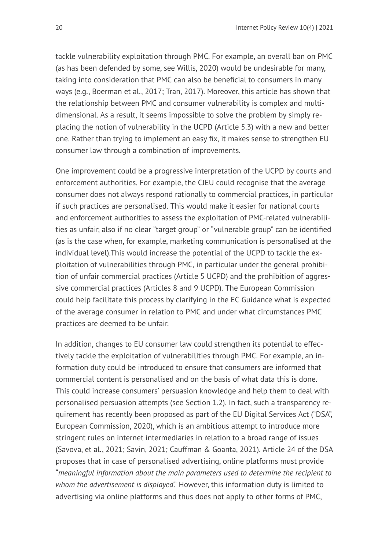tackle vulnerability exploitation through PMC. For example, an overall ban on PMC (as has been defended by some, see Willis, 2020) would be undesirable for many, taking into consideration that PMC can also be beneficial to consumers in many ways (e.g., Boerman et al., 2017; Tran, 2017). Moreover, this article has shown that the relationship between PMC and consumer vulnerability is complex and multidimensional. As a result, it seems impossible to solve the problem by simply replacing the notion of vulnerability in the UCPD (Article 5.3) with a new and better one. Rather than trying to implement an easy fix, it makes sense to strengthen EU consumer law through a combination of improvements.

One improvement could be a progressive interpretation of the UCPD by courts and enforcement authorities. For example, the CJEU could recognise that the average consumer does not always respond rationally to commercial practices, in particular if such practices are personalised. This would make it easier for national courts and enforcement authorities to assess the exploitation of PMC-related vulnerabilities as unfair, also if no clear "target group" or "vulnerable group" can be identified (as is the case when, for example, marketing communication is personalised at the individual level).This would increase the potential of the UCPD to tackle the exploitation of vulnerabilities through PMC, in particular under the general prohibition of unfair commercial practices (Article 5 UCPD) and the prohibition of aggressive commercial practices (Articles 8 and 9 UCPD). The European Commission could help facilitate this process by clarifying in the EC Guidance what is expected of the average consumer in relation to PMC and under what circumstances PMC practices are deemed to be unfair.

In addition, changes to EU consumer law could strengthen its potential to effectively tackle the exploitation of vulnerabilities through PMC. For example, an information duty could be introduced to ensure that consumers are informed that commercial content is personalised and on the basis of what data this is done. This could increase consumers' persuasion knowledge and help them to deal with personalised persuasion attempts (see Section 1.2). In fact, such a transparency requirement has recently been proposed as part of the EU Digital Services Act ("DSA", European Commission, 2020), which is an ambitious attempt to introduce more stringent rules on internet intermediaries in relation to a broad range of issues (Savova, et al., 2021; Savin, 2021; Cauffman & Goanta, 2021). Article 24 of the DSA proposes that in case of personalised advertising, online platforms must provide "*meaningful information about the main parameters used to determine the recipient to whom the advertisement is displayed*." However, this information duty is limited to advertising via online platforms and thus does not apply to other forms of PMC,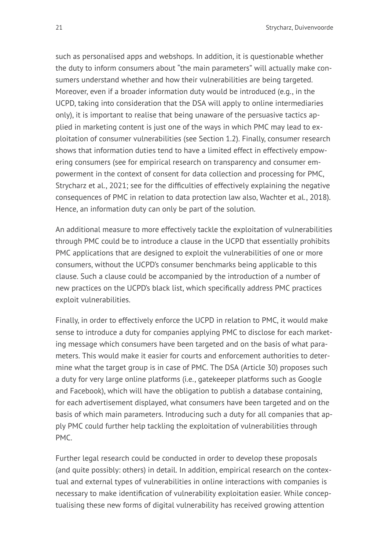such as personalised apps and webshops. In addition, it is questionable whether the duty to inform consumers about "the main parameters" will actually make consumers understand whether and how their vulnerabilities are being targeted. Moreover, even if a broader information duty would be introduced (e.g., in the UCPD, taking into consideration that the DSA will apply to online intermediaries only), it is important to realise that being unaware of the persuasive tactics applied in marketing content is just one of the ways in which PMC may lead to exploitation of consumer vulnerabilities (see Section 1.2). Finally, consumer research shows that information duties tend to have a limited effect in effectively empowering consumers (see for empirical research on transparency and consumer empowerment in the context of consent for data collection and processing for PMC, Strycharz et al., 2021; see for the difficulties of effectively explaining the negative consequences of PMC in relation to data protection law also, Wachter et al., 2018). Hence, an information duty can only be part of the solution.

An additional measure to more effectively tackle the exploitation of vulnerabilities through PMC could be to introduce a clause in the UCPD that essentially prohibits PMC applications that are designed to exploit the vulnerabilities of one or more consumers, without the UCPD's consumer benchmarks being applicable to this clause. Such a clause could be accompanied by the introduction of a number of new practices on the UCPD's black list, which specifically address PMC practices exploit vulnerabilities.

Finally, in order to effectively enforce the UCPD in relation to PMC, it would make sense to introduce a duty for companies applying PMC to disclose for each marketing message which consumers have been targeted and on the basis of what parameters. This would make it easier for courts and enforcement authorities to determine what the target group is in case of PMC. The DSA (Article 30) proposes such a duty for very large online platforms (i.e., gatekeeper platforms such as Google and Facebook), which will have the obligation to publish a database containing, for each advertisement displayed, what consumers have been targeted and on the basis of which main parameters. Introducing such a duty for all companies that apply PMC could further help tackling the exploitation of vulnerabilities through PMC.

Further legal research could be conducted in order to develop these proposals (and quite possibly: others) in detail. In addition, empirical research on the contextual and external types of vulnerabilities in online interactions with companies is necessary to make identification of vulnerability exploitation easier. While conceptualising these new forms of digital vulnerability has received growing attention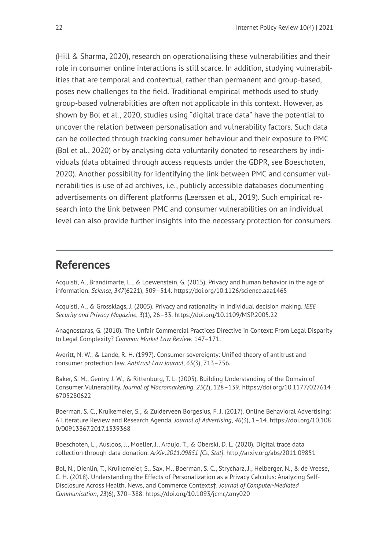(Hill & Sharma, 2020), research on operationalising these vulnerabilities and their role in consumer online interactions is still scarce. In addition, studying vulnerabilities that are temporal and contextual, rather than permanent and group-based, poses new challenges to the field. Traditional empirical methods used to study group-based vulnerabilities are often not applicable in this context. However, as shown by Bol et al., 2020, studies using "digital trace data" have the potential to uncover the relation between personalisation and vulnerability factors. Such data can be collected through tracking consumer behaviour and their exposure to PMC (Bol et al., 2020) or by analysing data voluntarily donated to researchers by individuals (data obtained through access requests under the GDPR, see Boeschoten, 2020). Another possibility for identifying the link between PMC and consumer vulnerabilities is use of ad archives, i.e., publicly accessible databases documenting advertisements on different platforms (Leerssen et al., 2019). Such empirical research into the link between PMC and consumer vulnerabilities on an individual level can also provide further insights into the necessary protection for consumers.

## **References**

Acquisti, A., Brandimarte, L., & Loewenstein, G. (2015). Privacy and human behavior in the age of information. *Science*, *347*(6221), 509–514. <https://doi.org/10.1126/science.aaa1465>

Acquisti, A., & Grossklags, J. (2005). Privacy and rationality in individual decision making. *IEEE Security and Privacy Magazine*, *3*(1), 26–33. <https://doi.org/10.1109/MSP.2005.22>

Anagnostaras, G. (2010). The Unfair Commercial Practices Directive in Context: From Legal Disparity to Legal Complexity? *Common Market Law Review*, 147–171.

Averitt, N. W., & Lande, R. H. (1997). Consumer sovereignty: Unified theory of antitrust and consumer protection law. *Antitrust Law Journal*, *65*(3), 713–756.

Baker, S. M., Gentry, J. W., & Rittenburg, T. L. (2005). Building Understanding of the Domain of Consumer Vulnerability. *Journal of Macromarketing*, *25*(2), 128–139. [https://doi.org/10.1177/027614](https://doi.org/10.1177/0276146705280622) [6705280622](https://doi.org/10.1177/0276146705280622) 

Boerman, S. C., Kruikemeier, S., & Zuiderveen Borgesius, F. J. (2017). Online Behavioral Advertising: A Literature Review and Research Agenda. *Journal of Advertising*, *46*(3), 1–14. [https://doi.org/10.108](https://doi.org/10.1080/00913367.2017.1339368) [0/00913367.2017.1339368](https://doi.org/10.1080/00913367.2017.1339368) 

Boeschoten, L., Ausloos, J., Moeller, J., Araujo, T., & Oberski, D. L. (2020). Digital trace data collection through data donation. *ArXiv:2011.09851 [Cs, Stat]*. <http://arxiv.org/abs/2011.09851>

Bol, N., Dienlin, T., Kruikemeier, S., Sax, M., Boerman, S. C., Strycharz, J., Helberger, N., & de Vreese, C. H. (2018). Understanding the Effects of Personalization as a Privacy Calculus: Analyzing Self-Disclosure Across Health, News, and Commerce Contexts†. *Journal of Computer-Mediated Communication*, *23*(6), 370–388. <https://doi.org/10.1093/jcmc/zmy020>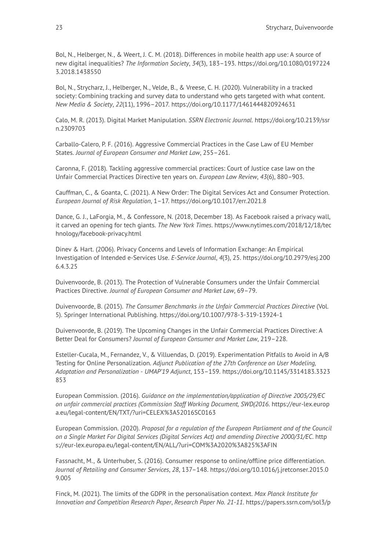Bol, N., Helberger, N., & Weert, J. C. M. (2018). Differences in mobile health app use: A source of new digital inequalities? *The Information Society*, *34*(3), 183–193. [https://doi.org/10.1080/0197224](https://doi.org/10.1080/01972243.2018.1438550) [3.2018.1438550](https://doi.org/10.1080/01972243.2018.1438550) 

Bol, N., Strycharz, J., Helberger, N., Velde, B., & Vreese, C. H. (2020). Vulnerability in a tracked society: Combining tracking and survey data to understand who gets targeted with what content. *New Media & Society*, *22*(11), 1996–2017. <https://doi.org/10.1177/1461444820924631>

Calo, M. R. (2013). Digital Market Manipulation. *SSRN Electronic Journal*. [https://doi.org/10.2139/ssr](https://doi.org/10.2139/ssrn.2309703) [n.2309703](https://doi.org/10.2139/ssrn.2309703) 

Carballo-Calero, P. F. (2016). Aggressive Commercial Practices in the Case Law of EU Member States. *Journal of European Consumer and Market Law*, 255–261.

Caronna, F. (2018). Tackling aggressive commercial practices: Court of Justice case law on the Unfair Commercial Practices Directive ten years on. *European Law Review*, *43*(6), 880–903.

Cauffman, C., & Goanta, C. (2021). A New Order: The Digital Services Act and Consumer Protection. *European Journal of Risk Regulation*, 1–17. <https://doi.org/10.1017/err.2021.8>

Dance, G. J., LaForgia, M., & Confessore, N. (2018, December 18). As Facebook raised a privacy wall, it carved an opening for tech giants. *The New York Times*. [https://www.nytimes.com/2018/12/18/tec](https://www.nytimes.com/2018/12/18/technology/facebook-privacy.html) [hnology/facebook-privacy.html](https://www.nytimes.com/2018/12/18/technology/facebook-privacy.html)

Dinev & Hart. (2006). Privacy Concerns and Levels of Information Exchange: An Empirical Investigation of Intended e-Services Use. *E-Service Journal*, *4*(3), 25. [https://doi.org/10.2979/esj.200](https://doi.org/10.2979/esj.2006.4.3.25) [6.4.3.25](https://doi.org/10.2979/esj.2006.4.3.25) 

Duivenvoorde, B. (2013). The Protection of Vulnerable Consumers under the Unfair Commercial Practices Directive. *Journal of European Consumer and Market Law*, 69–79.

Duivenvoorde, B. (2015). *The Consumer Benchmarks in the Unfair Commercial Practices Directive* (Vol. 5). Springer International Publishing. <https://doi.org/10.1007/978-3-319-13924-1>

Duivenvoorde, B. (2019). The Upcoming Changes in the Unfair Commercial Practices Directive: A Better Deal for Consumers? *Journal of European Consumer and Market Law*, 219–228.

Esteller-Cucala, M., Fernandez, V., & Villuendas, D. (2019). Experimentation Pitfalls to Avoid in A/B Testing for Online Personalization. *Adjunct Publication of the 27th Conference on User Modeling, Adaptation and Personalization - UMAP'19 Adjunct*, 153–159. [https://doi.org/10.1145/3314183.3323](https://doi.org/10.1145/3314183.3323853) [853](https://doi.org/10.1145/3314183.3323853)

European Commission. (2016). *Guidance on the implementation/application of Directive 2005/29/EC on unfair commercial practices (Commission Staff Working Document, SWD(2016*. [https://eur-lex.europ](https://eur-lex.europa.eu/legal-content/EN/TXT/?uri=CELEX%3A52016SC0163) [a.eu/legal-content/EN/TXT/?uri=CELEX%3A52016SC0163](https://eur-lex.europa.eu/legal-content/EN/TXT/?uri=CELEX%3A52016SC0163)

European Commission. (2020). *Proposal for a regulation of the European Parliament and of the Council on a Single Market For Digital Services (Digital Services Act) and amending Directive 2000/31/EC*. [http](https://eur-lex.europa.eu/legal-content/EN/ALL/?uri=COM%3A2020%3A825%3AFIN) [s://eur-lex.europa.eu/legal-content/EN/ALL/?uri=COM%3A2020%3A825%3AFIN](https://eur-lex.europa.eu/legal-content/EN/ALL/?uri=COM%3A2020%3A825%3AFIN)

Fassnacht, M., & Unterhuber, S. (2016). Consumer response to online/offline price differentiation. *Journal of Retailing and Consumer Services*, *28*, 137–148. [https://doi.org/10.1016/j.jretconser.2015.0](https://doi.org/10.1016/j.jretconser.2015.09.005) [9.005](https://doi.org/10.1016/j.jretconser.2015.09.005) 

Finck, M. (2021). The limits of the GDPR in the personalisation context. *Max Planck Institute for Innovation and Competition Research Paper*, *Research Paper No. 21-11*. [https://papers.ssrn.com/sol3/p](https://papers.ssrn.com/sol3/papers.cfm?abstract_id=3830304)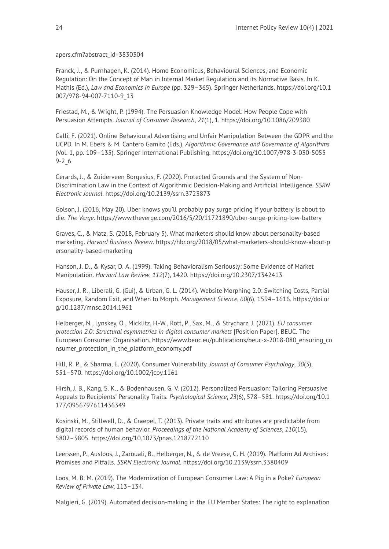[apers.cfm?abstract\\_id=3830304](https://papers.ssrn.com/sol3/papers.cfm?abstract_id=3830304) 

Franck, J., & Purnhagen, K. (2014). Homo Economicus, Behavioural Sciences, and Economic Regulation: On the Concept of Man in Internal Market Regulation and its Normative Basis. In K. Mathis (Ed.), *Law and Economics in Europe* (pp. 329–365). Springer Netherlands. [https://doi.org/10.1](https://doi.org/10.1007/978-94-007-7110-9_13) [007/978-94-007-7110-9\\_13](https://doi.org/10.1007/978-94-007-7110-9_13) 

Friestad, M., & Wright, P. (1994). The Persuasion Knowledge Model: How People Cope with Persuasion Attempts. *Journal of Consumer Research*, *21*(1), 1. <https://doi.org/10.1086/209380>

Galli, F. (2021). Online Behavioural Advertising and Unfair Manipulation Between the GDPR and the UCPD. In M. Ebers & M. Cantero Gamito (Eds.), *Algorithmic Governance and Governance of Algorithms*  (Vol. 1, pp. 109–135). Springer International Publishing. [https://doi.org/10.1007/978-3-030-5055](https://doi.org/10.1007/978-3-030-50559-2_6) [9-2\\_6](https://doi.org/10.1007/978-3-030-50559-2_6)

Gerards, J., & Zuiderveen Borgesius, F. (2020). Protected Grounds and the System of Non-Discrimination Law in the Context of Algorithmic Decision-Making and Artificial Intelligence. *SSRN Electronic Journal*. <https://doi.org/10.2139/ssrn.3723873>

Golson, J. (2016, May 20). Uber knows you'll probably pay surge pricing if your battery is about to die. *The Verge*. <https://www.theverge.com/2016/5/20/11721890/uber-surge-pricing-low-battery>

Graves, C., & Matz, S. (2018, February 5). What marketers should know about personality-based marketing. *Harvard Business Review*. [https://hbr.org/2018/05/what-marketers-should-know-about-p](https://hbr.org/2018/05/what-marketers-should-know-about-personality-based-marketing) [ersonality-based-marketing](https://hbr.org/2018/05/what-marketers-should-know-about-personality-based-marketing) 

Hanson, J. D., & Kysar, D. A. (1999). Taking Behavioralism Seriously: Some Evidence of Market Manipulation. *Harvard Law Review*, *112*(7), 1420. <https://doi.org/10.2307/1342413>

Hauser, J. R., Liberali, G. (Gui), & Urban, G. L. (2014). Website Morphing 2.0: Switching Costs, Partial Exposure, Random Exit, and When to Morph. *Management Science*, *60*(6), 1594–1616. [https://doi.or](https://doi.org/10.1287/mnsc.2014.1961) [g/10.1287/mnsc.2014.1961](https://doi.org/10.1287/mnsc.2014.1961) 

Helberger, N., Lynskey, O., Micklitz, H.-W., Rott, P., Sax, M., & Strycharz, J. (2021). *EU consumer protection 2.0: Structural asymmetries in digital consumer markets* [Position Paper]. BEUC. The European Consumer Organisation. [https://www.beuc.eu/publications/beuc-x-2018-080\\_ensuring\\_co](https://www.beuc.eu/publications/beuc-x-2018-080_ensuring_consumer_protection_in_the_platform_economy.pdf) [nsumer\\_protection\\_in\\_the\\_platform\\_economy.pdf](https://www.beuc.eu/publications/beuc-x-2018-080_ensuring_consumer_protection_in_the_platform_economy.pdf)

Hill, R. P., & Sharma, E. (2020). Consumer Vulnerability. *Journal of Consumer Psychology*, *30*(3), 551–570. <https://doi.org/10.1002/jcpy.1161>

Hirsh, J. B., Kang, S. K., & Bodenhausen, G. V. (2012). Personalized Persuasion: Tailoring Persuasive Appeals to Recipients' Personality Traits. *Psychological Science*, *23*(6), 578–581. [https://doi.org/10.1](https://doi.org/10.1177/0956797611436349) [177/0956797611436349](https://doi.org/10.1177/0956797611436349)

Kosinski, M., Stillwell, D., & Graepel, T. (2013). Private traits and attributes are predictable from digital records of human behavior. *Proceedings of the National Academy of Sciences*, *110*(15), 5802–5805. <https://doi.org/10.1073/pnas.1218772110>

Leerssen, P., Ausloos, J., Zarouali, B., Helberger, N., & de Vreese, C. H. (2019). Platform Ad Archives: Promises and Pitfalls. *SSRN Electronic Journal*. <https://doi.org/10.2139/ssrn.3380409>

Loos, M. B. M. (2019). The Modernization of European Consumer Law: A Pig in a Poke? *European Review of Private Law*, 113–134.

Malgieri, G. (2019). Automated decision-making in the EU Member States: The right to explanation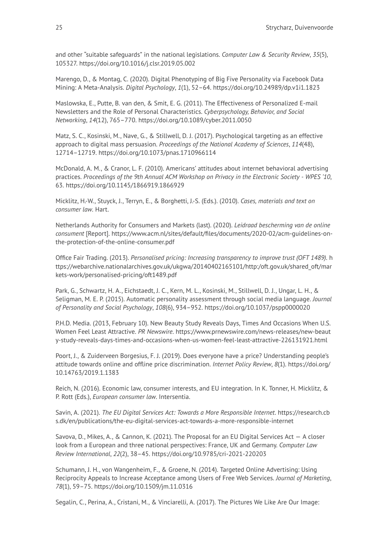and other "suitable safeguards" in the national legislations. *Computer Law & Security Review*, *35*(5), 105327. <https://doi.org/10.1016/j.clsr.2019.05.002>

Marengo, D., & Montag, C. (2020). Digital Phenotyping of Big Five Personality via Facebook Data Mining: A Meta-Analysis. *Digital Psychology*, *1*(1), 52–64. <https://doi.org/10.24989/dp.v1i1.1823>

Maslowska, E., Putte, B. van den, & Smit, E. G. (2011). The Effectiveness of Personalized E-mail Newsletters and the Role of Personal Characteristics. *Cyberpsychology, Behavior, and Social Networking*, *14*(12), 765–770. <https://doi.org/10.1089/cyber.2011.0050>

Matz, S. C., Kosinski, M., Nave, G., & Stillwell, D. J. (2017). Psychological targeting as an effective approach to digital mass persuasion. *Proceedings of the National Academy of Sciences*, *114*(48), 12714–12719. <https://doi.org/10.1073/pnas.1710966114>

McDonald, A. M., & Cranor, L. F. (2010). Americans' attitudes about internet behavioral advertising practices. *Proceedings of the 9th Annual ACM Workshop on Privacy in the Electronic Society - WPES '10*, 63. <https://doi.org/10.1145/1866919.1866929>

Micklitz, H.-W., Stuyck, J., Terryn, E., & Borghetti, J.-S. (Eds.). (2010). *Cases, materials and text on consumer law*. Hart.

Netherlands Authority for Consumers and Markets (last). (2020). *Leidraad bescherming van de online consument* [Report]. [https://www.acm.nl/sites/default/files/documents/2020-02/acm-guidelines-on](https://www.acm.nl/sites/default/files/documents/2020-02/acm-guidelines-on-the-protection-of-the-online-consumer.pdf)[the-protection-of-the-online-consumer.pdf](https://www.acm.nl/sites/default/files/documents/2020-02/acm-guidelines-on-the-protection-of-the-online-consumer.pdf) 

Office Fair Trading. (2013). *Personalised pricing: Increasing transparency to improve trust (OFT 1489).* [h](https://webarchive.nationalarchives.gov.uk/ukgwa/20140402165101/http:/oft.gov.uk/shared_oft/markets-work/personalised-pricing/oft1489.pdf) [ttps://webarchive.nationalarchives.gov.uk/ukgwa/20140402165101/http:/oft.gov.uk/shared\\_oft/mar](https://webarchive.nationalarchives.gov.uk/ukgwa/20140402165101/http:/oft.gov.uk/shared_oft/markets-work/personalised-pricing/oft1489.pdf) [kets-work/personalised-pricing/oft1489.pdf](https://webarchive.nationalarchives.gov.uk/ukgwa/20140402165101/http:/oft.gov.uk/shared_oft/markets-work/personalised-pricing/oft1489.pdf) 

Park, G., Schwartz, H. A., Eichstaedt, J. C., Kern, M. L., Kosinski, M., Stillwell, D. J., Ungar, L. H., & Seligman, M. E. P. (2015). Automatic personality assessment through social media language. *Journal of Personality and Social Psychology*, *108*(6), 934–952. <https://doi.org/10.1037/pspp0000020>

P.H.D. Media. (2013, February 10). New Beauty Study Reveals Days, Times And Occasions When U.S. Women Feel Least Attractive. *PR Newswire*. [https://www.prnewswire.com/news-releases/new-beaut](https://www.prnewswire.com/news-releases/new-beauty-study-reveals-days-times-and-occasions-when-us-women-feel-least-attractive-226131921.html) [y-study-reveals-days-times-and-occasions-when-us-women-feel-least-attractive-226131921.html](https://www.prnewswire.com/news-releases/new-beauty-study-reveals-days-times-and-occasions-when-us-women-feel-least-attractive-226131921.html)

Poort, J., & Zuiderveen Borgesius, F. J. (2019). Does everyone have a price? Understanding people's attitude towards online and offline price discrimination. *Internet Policy Review*, *8*(1). [https://doi.org/](https://doi.org/10.14763/2019.1.1383) [10.14763/2019.1.1383](https://doi.org/10.14763/2019.1.1383)

Reich, N. (2016). Economic law, consumer interests, and EU integration. In K. Tonner, H. Micklitz, & P. Rott (Eds.), *European consumer law*. Intersentia.

Savin, A. (2021). *The EU Digital Services Act: Towards a More Responsible Internet*. [https://research.cb](https://research.cbs.dk/en/publications/the-eu-digital-services-act-towards-a-more-responsible-internet) [s.dk/en/publications/the-eu-digital-services-act-towards-a-more-responsible-internet](https://research.cbs.dk/en/publications/the-eu-digital-services-act-towards-a-more-responsible-internet)

Savova, D., Mikes, A., & Cannon, K. (2021). The Proposal for an EU Digital Services Act — A closer look from a European and three national perspectives: France, UK and Germany. *Computer Law Review International*, *22*(2), 38–45. <https://doi.org/10.9785/cri-2021-220203>

Schumann, J. H., von Wangenheim, F., & Groene, N. (2014). Targeted Online Advertising: Using Reciprocity Appeals to Increase Acceptance among Users of Free Web Services. *Journal of Marketing*, *78*(1), 59–75. <https://doi.org/10.1509/jm.11.0316>

Segalin, C., Perina, A., Cristani, M., & Vinciarelli, A. (2017). The Pictures We Like Are Our Image: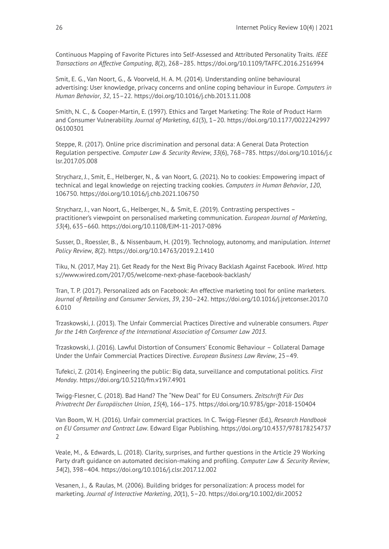Continuous Mapping of Favorite Pictures into Self-Assessed and Attributed Personality Traits. *IEEE Transactions on Affective Computing*, *8*(2), 268–285. <https://doi.org/10.1109/TAFFC.2016.2516994>

Smit, E. G., Van Noort, G., & Voorveld, H. A. M. (2014). Understanding online behavioural advertising: User knowledge, privacy concerns and online coping behaviour in Europe. *Computers in Human Behavior*, *32*, 15–22. <https://doi.org/10.1016/j.chb.2013.11.008>

Smith, N. C., & Cooper-Martin, E. (1997). Ethics and Target Marketing: The Role of Product Harm and Consumer Vulnerability. *Journal of Marketing*, *61*(3), 1–20. [https://doi.org/10.1177/0022242997](https://doi.org/10.1177/002224299706100301) [06100301](https://doi.org/10.1177/002224299706100301) 

Steppe, R. (2017). Online price discrimination and personal data: A General Data Protection Regulation perspective. *Computer Law & Security Review*, *33*(6), 768–785. [https://doi.org/10.1016/j.c](https://doi.org/10.1016/j.clsr.2017.05.008) [lsr.2017.05.008](https://doi.org/10.1016/j.clsr.2017.05.008)

Strycharz, J., Smit, E., Helberger, N., & van Noort, G. (2021). No to cookies: Empowering impact of technical and legal knowledge on rejecting tracking cookies. *Computers in Human Behavior*, *120*, 106750. <https://doi.org/10.1016/j.chb.2021.106750>

Strycharz, J., van Noort, G., Helberger, N., & Smit, E. (2019). Contrasting perspectives – practitioner's viewpoint on personalised marketing communication. *European Journal of Marketing*, *53*(4), 635–660. <https://doi.org/10.1108/EJM-11-2017-0896>

Susser, D., Roessler, B., & Nissenbaum, H. (2019). Technology, autonomy, and manipulation. *Internet Policy Review*, *8*(2). <https://doi.org/10.14763/2019.2.1410>

Tiku, N. (2017, May 21). Get Ready for the Next Big Privacy Backlash Against Facebook. *Wired*. [http](https://www.wired.com/2017/05/welcome-next-phase-facebook-backlash/) [s://www.wired.com/2017/05/welcome-next-phase-facebook-backlash/](https://www.wired.com/2017/05/welcome-next-phase-facebook-backlash/)

Tran, T. P. (2017). Personalized ads on Facebook: An effective marketing tool for online marketers. *Journal of Retailing and Consumer Services*, *39*, 230–242. [https://doi.org/10.1016/j.jretconser.2017.0](https://doi.org/10.1016/j.jretconser.2017.06.010) [6.010](https://doi.org/10.1016/j.jretconser.2017.06.010) 

Trzaskowski, J. (2013). The Unfair Commercial Practices Directive and vulnerable consumers. *Paper for the 14th Conference of the International Association of Consumer Law 2013*.

Trzaskowski, J. (2016). Lawful Distortion of Consumers' Economic Behaviour – Collateral Damage Under the Unfair Commercial Practices Directive. *European Business Law Review*, 25–49.

Tufekci, Z. (2014). Engineering the public: Big data, surveillance and computational politics. *First Monday*. <https://doi.org/10.5210/fm.v19i7.4901>

Twigg-Flesner, C. (2018). Bad Hand? The "New Deal" for EU Consumers. *Zeitschrift Für Das Privatrecht Der Europäischen Union*, *15*(4), 166–175. <https://doi.org/10.9785/gpr-2018-150404>

Van Boom, W. H. (2016). Unfair commercial practices. In C. Twigg-Flesner (Ed.), *Research Handbook on EU Consumer and Contract Law*. Edward Elgar Publishing. [https://doi.org/10.4337/978178254737](https://doi.org/10.4337/9781782547372) [2](https://doi.org/10.4337/9781782547372)

Veale, M., & Edwards, L. (2018). Clarity, surprises, and further questions in the Article 29 Working Party draft guidance on automated decision-making and profiling. *Computer Law & Security Review*, *34*(2), 398–404. <https://doi.org/10.1016/j.clsr.2017.12.002>

Vesanen, J., & Raulas, M. (2006). Building bridges for personalization: A process model for marketing. *Journal of Interactive Marketing*, *20*(1), 5–20. <https://doi.org/10.1002/dir.20052>